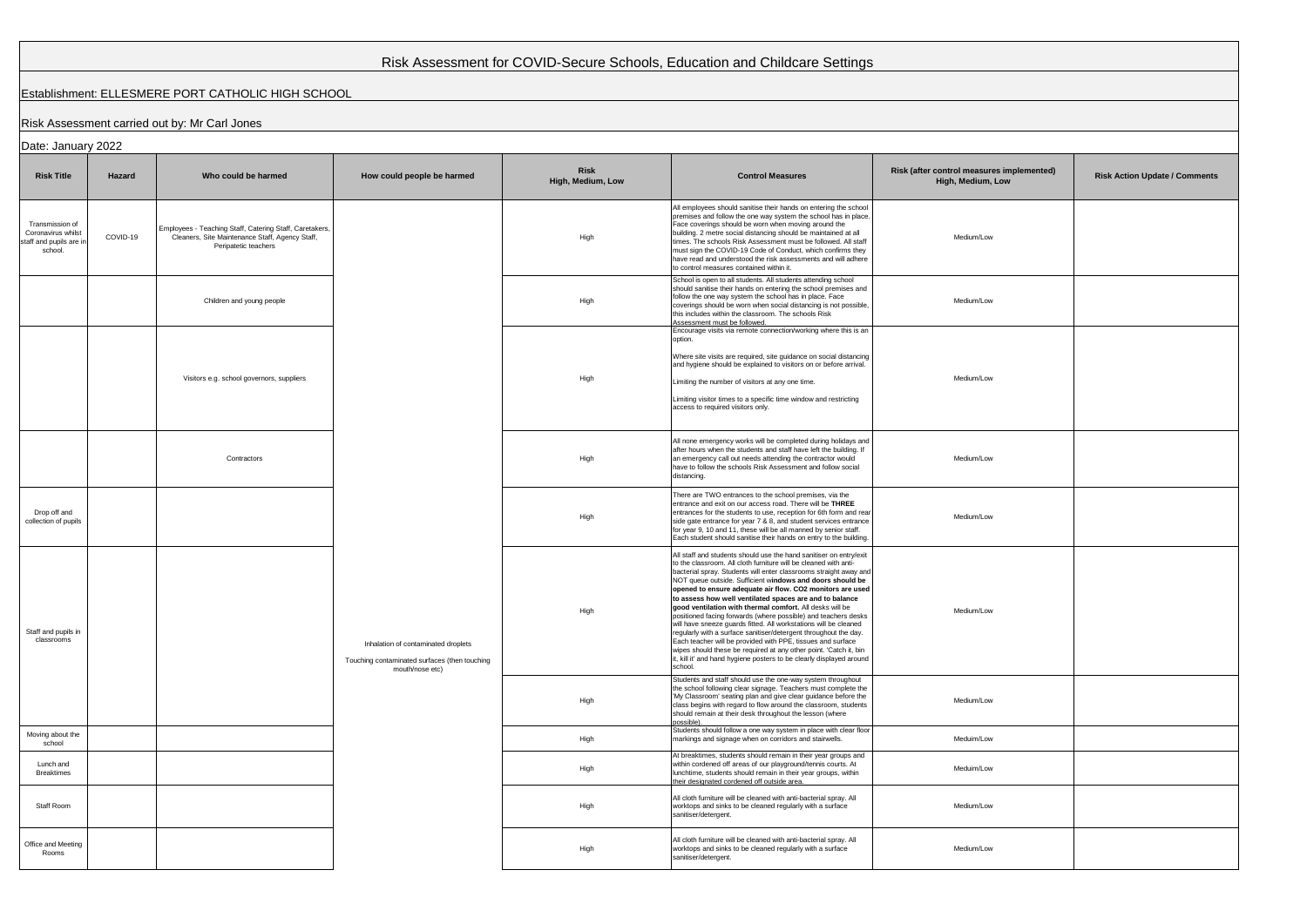| Risk Assessment for COVID-Secure Schools, Education and Childcare Settings |          |                                                                                                                                    |                            |                                                                                                                                                                                                                                                                                                                                                                                                                                                                                                                                                                                                                                                                                                                                                                                                                                                                                               |                                                                                                                                                                                                                                                                                                                                                                                                                                                                                                             |                                                                |                                      |  |  |  |  |  |
|----------------------------------------------------------------------------|----------|------------------------------------------------------------------------------------------------------------------------------------|----------------------------|-----------------------------------------------------------------------------------------------------------------------------------------------------------------------------------------------------------------------------------------------------------------------------------------------------------------------------------------------------------------------------------------------------------------------------------------------------------------------------------------------------------------------------------------------------------------------------------------------------------------------------------------------------------------------------------------------------------------------------------------------------------------------------------------------------------------------------------------------------------------------------------------------|-------------------------------------------------------------------------------------------------------------------------------------------------------------------------------------------------------------------------------------------------------------------------------------------------------------------------------------------------------------------------------------------------------------------------------------------------------------------------------------------------------------|----------------------------------------------------------------|--------------------------------------|--|--|--|--|--|
| Establishment: ELLESMERE PORT CATHOLIC HIGH SCHOOL                         |          |                                                                                                                                    |                            |                                                                                                                                                                                                                                                                                                                                                                                                                                                                                                                                                                                                                                                                                                                                                                                                                                                                                               |                                                                                                                                                                                                                                                                                                                                                                                                                                                                                                             |                                                                |                                      |  |  |  |  |  |
| Risk Assessment carried out by: Mr Carl Jones                              |          |                                                                                                                                    |                            |                                                                                                                                                                                                                                                                                                                                                                                                                                                                                                                                                                                                                                                                                                                                                                                                                                                                                               |                                                                                                                                                                                                                                                                                                                                                                                                                                                                                                             |                                                                |                                      |  |  |  |  |  |
| Date: January 2022                                                         |          |                                                                                                                                    |                            |                                                                                                                                                                                                                                                                                                                                                                                                                                                                                                                                                                                                                                                                                                                                                                                                                                                                                               |                                                                                                                                                                                                                                                                                                                                                                                                                                                                                                             |                                                                |                                      |  |  |  |  |  |
| <b>Risk Title</b>                                                          | Hazard   | Who could be harmed                                                                                                                | How could people be harmed | <b>Risk</b><br>High, Medium, Low                                                                                                                                                                                                                                                                                                                                                                                                                                                                                                                                                                                                                                                                                                                                                                                                                                                              | <b>Control Measures</b>                                                                                                                                                                                                                                                                                                                                                                                                                                                                                     | Risk (after control measures implemented)<br>High, Medium, Low | <b>Risk Action Update / Comments</b> |  |  |  |  |  |
| Transmission of<br>Coronavirus whilst<br>staff and pupils are i<br>school. | COVID-19 | Employees - Teaching Staff, Catering Staff, Caretakers,<br>Cleaners, Site Maintenance Staff, Agency Staff,<br>Peripatetic teachers |                            | High                                                                                                                                                                                                                                                                                                                                                                                                                                                                                                                                                                                                                                                                                                                                                                                                                                                                                          | All employees should sanitise their hands on entering the school<br>premises and follow the one way system the school has in place<br>Face coverings should be worn when moving around the<br>building. 2 metre social distancing should be maintained at all<br>times. The schools Risk Assessment must be followed. All staff<br>must sign the COVID-19 Code of Conduct, which confirms they<br>have read and understood the risk assessments and will adhere<br>to control measures contained within it. | Medium/Low                                                     |                                      |  |  |  |  |  |
|                                                                            |          | Children and young people                                                                                                          |                            | High                                                                                                                                                                                                                                                                                                                                                                                                                                                                                                                                                                                                                                                                                                                                                                                                                                                                                          | School is open to all students. All students attending school<br>should sanitise their hands on entering the school premises and<br>follow the one way system the school has in place. Face<br>coverings should be worn when social distancing is not possible,<br>this includes within the classroom. The schools Risk<br>Assessment must be followed.                                                                                                                                                     | Medium/Low                                                     |                                      |  |  |  |  |  |
|                                                                            |          | Visitors e.g. school governors, suppliers                                                                                          |                            | High                                                                                                                                                                                                                                                                                                                                                                                                                                                                                                                                                                                                                                                                                                                                                                                                                                                                                          | Encourage visits via remote connection/working where this is an<br>option.<br>Where site visits are required, site guidance on social distancing<br>and hygiene should be explained to visitors on or before arrival.<br>Limiting the number of visitors at any one time.<br>Limiting visitor times to a specific time window and restricting<br>access to required visitors only.                                                                                                                          | Medium/Low                                                     |                                      |  |  |  |  |  |
|                                                                            |          | Contractors                                                                                                                        |                            | High                                                                                                                                                                                                                                                                                                                                                                                                                                                                                                                                                                                                                                                                                                                                                                                                                                                                                          | All none emergency works will be completed during holidays and<br>after hours when the students and staff have left the building. If<br>an emergency call out needs attending the contractor would<br>have to follow the schools Risk Assessment and follow social<br>distancing.                                                                                                                                                                                                                           | Medium/Low                                                     |                                      |  |  |  |  |  |
| Drop off and<br>collection of pupils                                       |          |                                                                                                                                    |                            | High                                                                                                                                                                                                                                                                                                                                                                                                                                                                                                                                                                                                                                                                                                                                                                                                                                                                                          | There are TWO entrances to the school premises, via the<br>entrance and exit on our access road. There will be THREE<br>entrances for the students to use, reception for 6th form and rear<br>side gate entrance for year 7 & 8, and student services entrance<br>for year 9, 10 and 11, these will be all manned by senior staff.<br>Each student should sanitise their hands on entry to the building.                                                                                                    | Medium/Low                                                     |                                      |  |  |  |  |  |
| Staff and pupils in<br>classrooms                                          |          | Inhalation of contaminated droplets<br>Touching contaminated surfaces (then touching<br>mouth/nose etc)                            | High                       | All staff and students should use the hand sanitiser on entry/exit<br>to the classroom. All cloth furniture will be cleaned with anti-<br>bacterial spray. Students will enter classrooms straight away and<br>NOT queue outside. Sufficient windows and doors should be<br>opened to ensure adequate air flow. CO2 monitors are used<br>to assess how well ventilated spaces are and to balance<br>good ventilation with thermal comfort. All desks will be<br>positioned facing forwards (where possible) and teachers desks<br>will have sneeze guards fitted. All workstations will be cleaned<br>regularly with a surface sanitiser/detergent throughout the day.<br>Each teacher will be provided with PPE, tissues and surface<br>wipes should these be required at any other point. 'Catch it, bin<br>it, kill it' and hand hygiene posters to be clearly displayed around<br>school. | Medium/Low                                                                                                                                                                                                                                                                                                                                                                                                                                                                                                  |                                                                |                                      |  |  |  |  |  |
|                                                                            |          |                                                                                                                                    | High                       | Students and staff should use the one-way system throughout<br>the school following clear signage. Teachers must complete the<br>'My Classroom' seating plan and give clear guidance before the<br>class begins with regard to flow around the classroom, students<br>should remain at their desk throughout the lesson (where<br>possible).                                                                                                                                                                                                                                                                                                                                                                                                                                                                                                                                                  | Medium/Low                                                                                                                                                                                                                                                                                                                                                                                                                                                                                                  |                                                                |                                      |  |  |  |  |  |
| Moving about the<br>school                                                 |          |                                                                                                                                    |                            | High                                                                                                                                                                                                                                                                                                                                                                                                                                                                                                                                                                                                                                                                                                                                                                                                                                                                                          | Students should follow a one way system in place with clear floor<br>markings and signage when on corridors and stairwells.                                                                                                                                                                                                                                                                                                                                                                                 | Meduim/Low                                                     |                                      |  |  |  |  |  |
| Lunch and<br><b>Breaktimes</b>                                             |          |                                                                                                                                    |                            | High                                                                                                                                                                                                                                                                                                                                                                                                                                                                                                                                                                                                                                                                                                                                                                                                                                                                                          | At breaktimes, students should remain in their year groups and<br>within cordened off areas of our playground/tennis courts. At<br>lunchtime, students should remain in their year groups, within<br>their designated cordened off outside area.                                                                                                                                                                                                                                                            | Meduim/Low                                                     |                                      |  |  |  |  |  |
| Staff Room                                                                 |          |                                                                                                                                    |                            | High                                                                                                                                                                                                                                                                                                                                                                                                                                                                                                                                                                                                                                                                                                                                                                                                                                                                                          | All cloth furniture will be cleaned with anti-bacterial spray. All<br>worktops and sinks to be cleaned regularly with a surface<br>sanitiser/detergent.                                                                                                                                                                                                                                                                                                                                                     | Medium/Low                                                     |                                      |  |  |  |  |  |
| Office and Meeting<br>Rooms                                                |          |                                                                                                                                    |                            | High                                                                                                                                                                                                                                                                                                                                                                                                                                                                                                                                                                                                                                                                                                                                                                                                                                                                                          | All cloth furniture will be cleaned with anti-bacterial spray. All<br>worktops and sinks to be cleaned regularly with a surface<br>sanitiser/detergent.                                                                                                                                                                                                                                                                                                                                                     | Medium/Low                                                     |                                      |  |  |  |  |  |

## Establishment: ELLESMERE PORT CATHOLIC HIGH SCHOOL